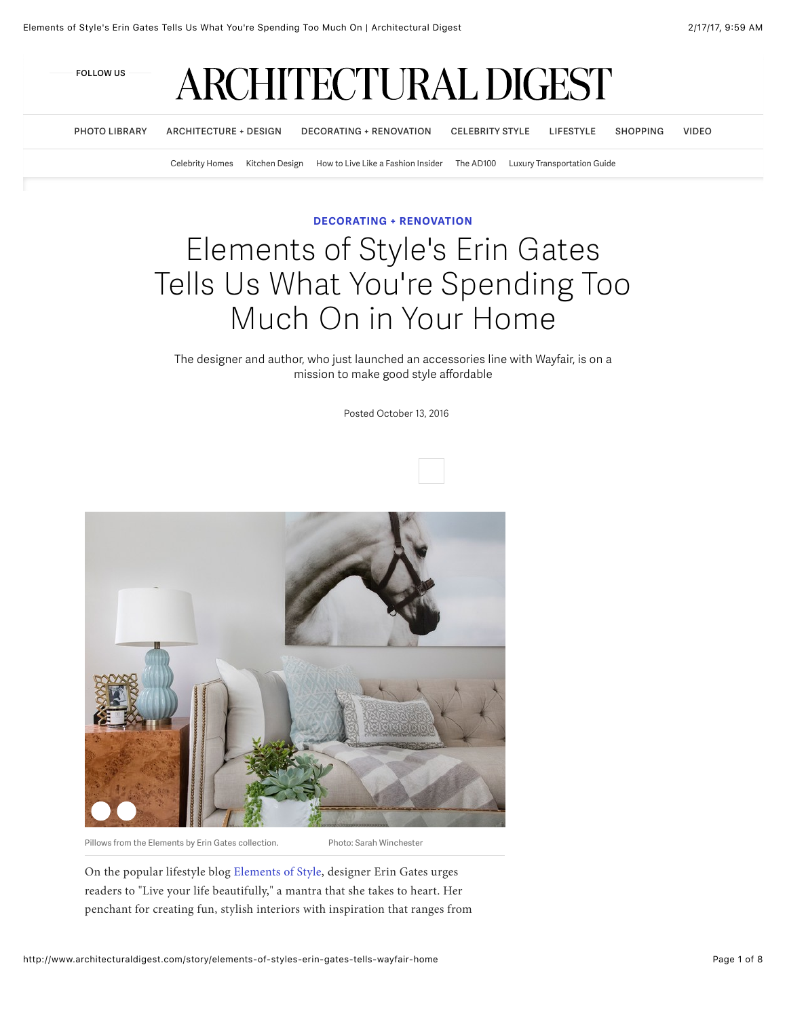

**[PHOTO LIBRARY](http://designfile.architecturaldigest.com/) [ARCHITECTURE + DESIGN](http://www.architecturaldigest.com/architecture-design) [DECORATING + RENOVATION](http://www.architecturaldigest.com/decorating-renovation) [CELEBRITY STYLE](http://www.architecturaldigest.com/celebrity-style) [LIFESTYLE](http://www.architecturaldigest.com/culture-lifestyle) [SHOPPING](http://www.architecturaldigest.com/shopping) [VIDEO](http://video.architecturaldigest.com/)**

[Celebrity Homes](http://www.architecturaldigest.com/celebrity-houses) [Kitchen Design](http://www.architecturaldigest.com/kitchen-renovation-guide) [How to Live Like a Fashion Insider](http://www.architecturaldigest.com/fashion-insider-style-and-design) [The AD100](http://www.architecturaldigest.com/architecture-design/ad100) [Luxury Transportation Guide](http://www.architecturaldigest.com/the-ultimate-guide-to-luxury-transportation)

#### **[DECORATING + RENOVATION](http://www.architecturaldigest.com/decorating-renovation)**

# Elements of Style's Erin Gates Tells Us What You're Spending Too Much On in Your Home

#### The designer and author, who just launched an accessories line with Wayfair, is on a mission to make good style affordable

Posted October 13, 2016



On the popular lifestyle blog [Elements of Style](http://www.elementsofstyleblog.com/), designer Erin Gates urges readers to "Live your life beautifully," a mantra that she takes to heart. Her penchant for creating fun, stylish interiors with inspiration that ranges from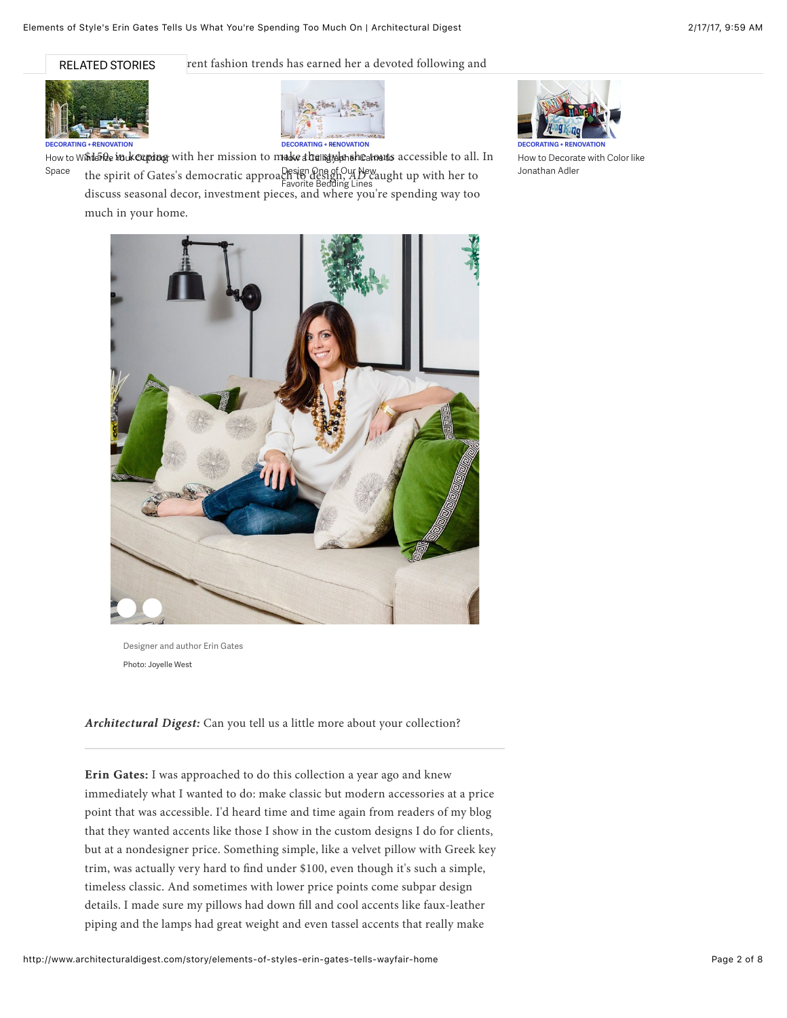RELATED STORIES



rent fashion trends has earned her a devoted following and



How to Wintefing in keeping with her mission to make a banstylen sheatnests accessible to all. In the spirit of Gates's democratic approach to design, *AD* caught up with her to discuss seasonal decor, investment pieces, and where you're spending way too much in your home. Space Design One of Our New Favorite Bedding Lines



[How to Decorate with Color like](http://www.architecturaldigest.com/story/decorate-with-color-jonathan-adler) Jonathan Adler



Designer and author Erin Gates Photo: Joyelle West

*Architectural Digest: Architectural Digest:* Can you tell us a little more about your collection?

Erin Gates: I was approached to do this collection a year ago and knew immediately what I wanted to do: make classic but modern accessories at a price point that was accessible. I'd heard time and time again from readers of my blog that they wanted accents like those I show in the custom designs I do for clients, but at a nondesigner price. Something simple, like a velvet pillow with Greek key trim, was actually very hard to find under \$100, even though it's such a simple, timeless classic. And sometimes with lower price points come subpar design details. I made sure my pillows had down fill and cool accents like faux-leather piping and the lamps had great weight and even tassel accents that really make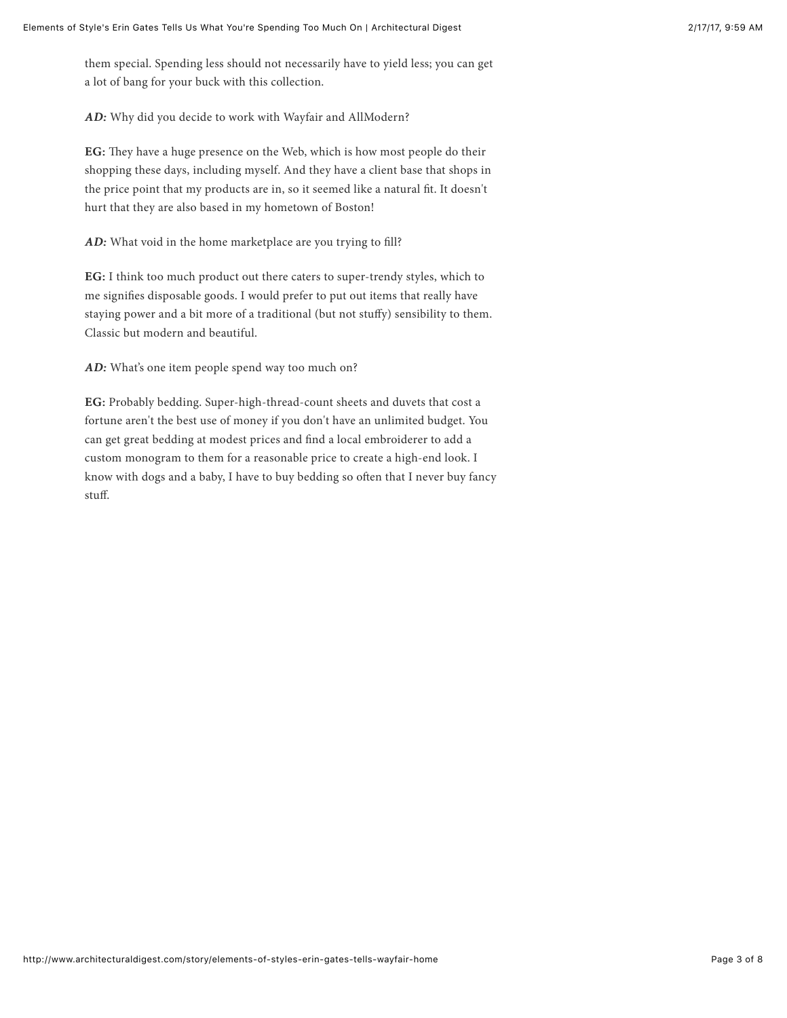them special. Spending less should not necessarily have to yield less; you can get a lot of bang for your buck with this collection.

*AD:* Why did you decide to work with Wayfair and AllModern?

EG: They have a huge presence on the Web, which is how most people do their shopping these days, including myself. And they have a client base that shops in the price point that my products are in, so it seemed like a natural fit. It doesn't hurt that they are also based in my hometown of Boston!

*AD*: What void in the home marketplace are you trying to fill?

EG: I think too much product out there caters to super-trendy styles, which to me signifies disposable goods. I would prefer to put out items that really have staying power and a bit more of a traditional (but not stuffy) sensibility to them. Classic but modern and beautiful.

*AD:* What's one item people spend way too much on?

EG: Probably bedding. Super-high-thread-count sheets and duvets that cost a fortune aren't the best use of money if you don't have an unlimited budget. You can get great bedding at modest prices and find a local embroiderer to add a custom monogram to them for a reasonable price to create a high-end look. I know with dogs and a baby, I have to buy bedding so often that I never buy fancy stuff.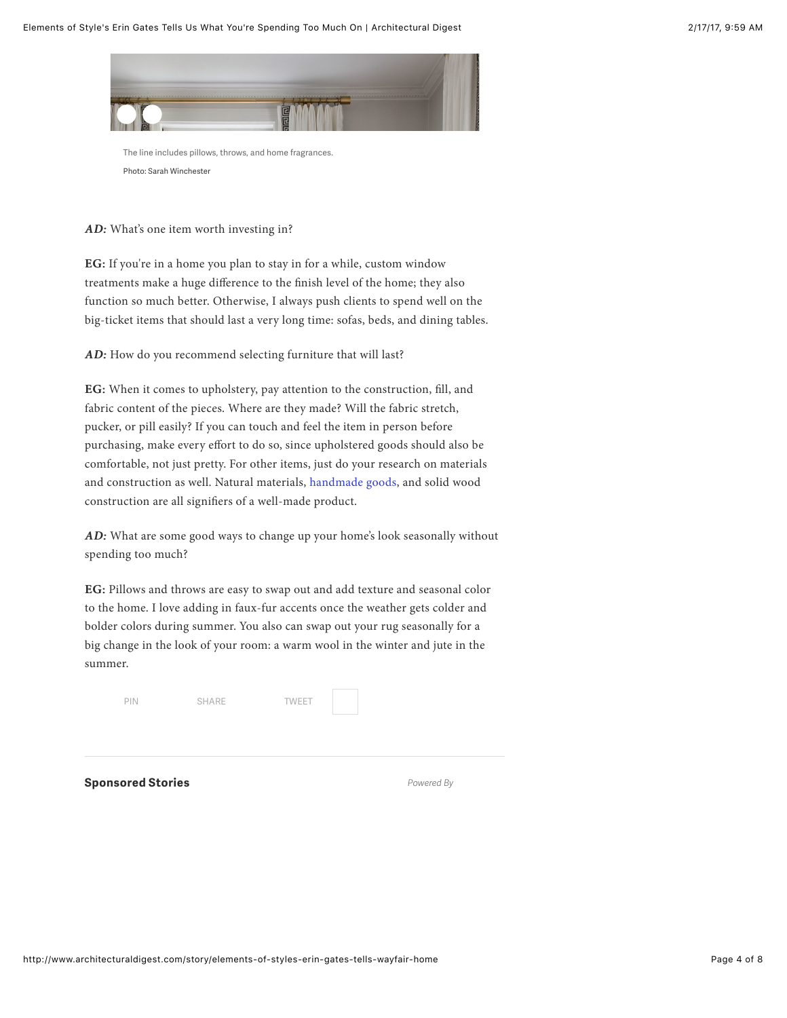

The line includes pillows, throws, and home fragrances. Photo: Sarah Winchester

AD: What's one item worth investing in?

EG: If you're in a home you plan to stay in for a while, custom window treatments make a huge difference to the finish level of the home; they also function so much better. Otherwise, I always push clients to spend well on the big-ticket items that should last a very long time: sofas, beds, and dining tables.

*AD:* How do you recommend selecting furniture that will last?

EG: When it comes to upholstery, pay attention to the construction, fill, and fabric content of the pieces. Where are they made? Will the fabric stretch, pucker, or pill easily? If you can touch and feel the item in person before purchasing, make every effort to do so, since upholstered goods should also be comfortable, not just pretty. For other items, just do your research on materials and construction as well. Natural materials, [handmade goods](http://www.architecturaldigest.com/gallery/handmade-goods-around-the-world-slideshow/all), and solid wood construction are all signifiers of a well-made product.

*AD:* What are some good ways to change up your home's look seasonally without spending too much?

EG: Pillows and throws are easy to swap out and add texture and seasonal color to the home. I love adding in faux-fur accents once the weather gets colder and bolder colors during summer. You also can swap out your rug seasonally for a big change in the look of your room: a warm wool in the winter and jute in the summer.

| <b>Sponsored Stories</b> |              |              | Powered By |  |
|--------------------------|--------------|--------------|------------|--|
|                          |              |              |            |  |
| PIN                      | <b>SHARE</b> | <b>TWEET</b> |            |  |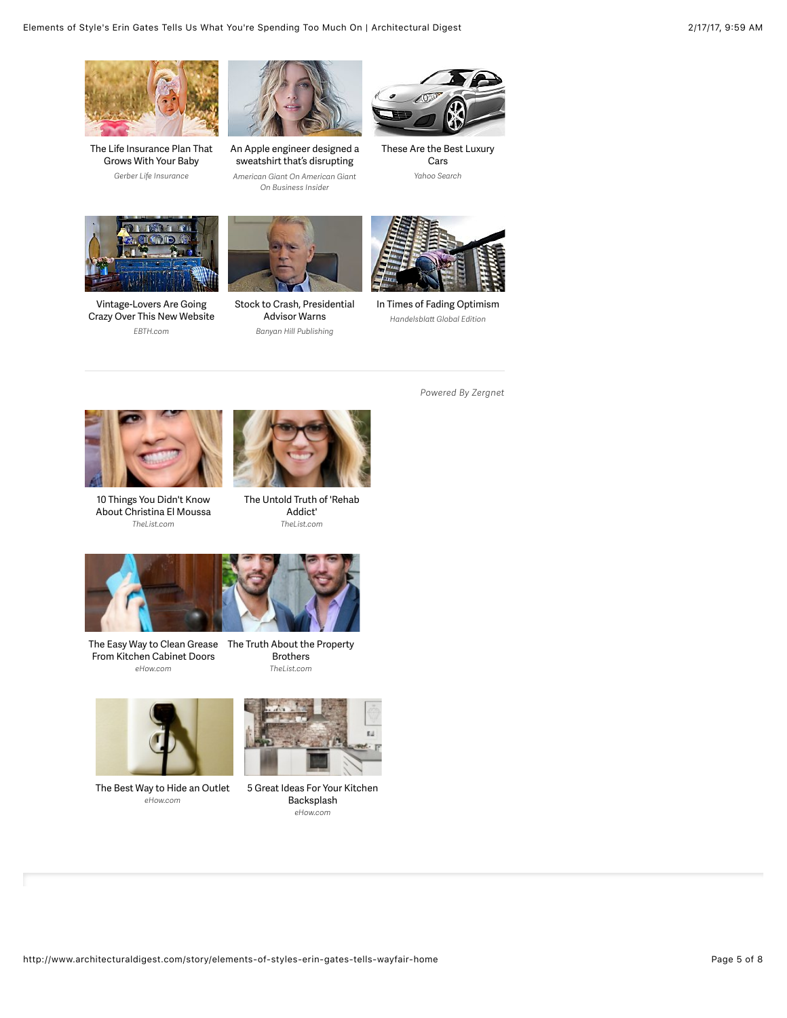

[The Life Insurance Plan That](https://ad.doubleclick.net/ddm/clk/314937986;142814268;v) Grows With Your Baby *Gerber Life Insurance*



[An Apple engineer designed a](http://www.businessinsider.com/this-hoodie-is-so-insanely-popular-you-have-to-wait-months-to-get-it-2013-12) sweatshirt that's disrupting *American Giant On American Giant* American Manufacturing *On Business Insider*



[These Are the Best Luxury](https://apiservices.krxd.net/click_tracker/track?kx_event_uid=K2HIXnb2&kx_catname=Automotive&kx_sub-cat=Automotive_Luxury&kx_typetag=bestluxurycar&clk=https://apiservices.krxd.net/click_tracker/track?kxconfid=qygrk9qlk&kxadvertiserid=Search-GINSU&kxcampaignid=GINSU&kxadid=&kxsiteid=Outbrain&kxplacementid=Ginsu_NA_Automotive&kxcreativeid=&clk=https://search.yahoo.com/yhs/search?hspart=yahoo&hsimp=yhs-g2&p=best+luxury+car&type=bestluxurycar) Cars *Yahoo Search*



Vintage-Lovers Are Going [Crazy Over This New Website](http://discover.ebth.com/content/vintage-lovers-3/?utm_source=outbrain&utm_medium=paid-content&utm_campaign=vintage-lovers-3&utm_term=00e9009fde756c4062334291d122059bb2) *EBTH.com*



[Stock to Crash, Presidential](http://banyanhill.com/exclusives/80-stock-market-crash-to-strike-in-2016-2/?z=451509) Advisor Warns *Banyan Hill Publishing*



[In Times of Fading Optimism](https://global.handelsblatt.com/politics/in-times-of-fading-optimism-707271?ref=MzQ4NDA1&utm_source=outbrain&utm_medium=contentmarketing&utm_campaign=outbrain-US&utm_content=Germans+Are+Content+But+Also+Unreasonably+Worried+&utm_term=00e9009fde756c4062334291d122059bb2) *Handelsblat Global Edition*



10 Things You Didn't Know [About Christina El Moussa](http://www.zergnet.com/i/1365110/34454/0/0/0) *TheList.com*



[The Untold Truth of 'Rehab](http://www.zergnet.com/i/1321958/34454/0/0/0) Addict' *TheList.com*



[The Easy Way to Clean Grease](http://www.zergnet.com/i/1302269/34454/0/0/0) [The Truth About the Property](http://www.zergnet.com/i/1443763/34454/0/0/0) From Kitchen Cabinet Doors *eHow.com*





[The Best Way to Hide an Outlet](http://www.zergnet.com/i/1295562/34454/0/0/0) *eHow.com*



[5 Great Ideas For Your Kitchen](http://www.zergnet.com/i/1359833/34454/0/0/0) Backsplash *eHow.com*

*Powered By Zergnet*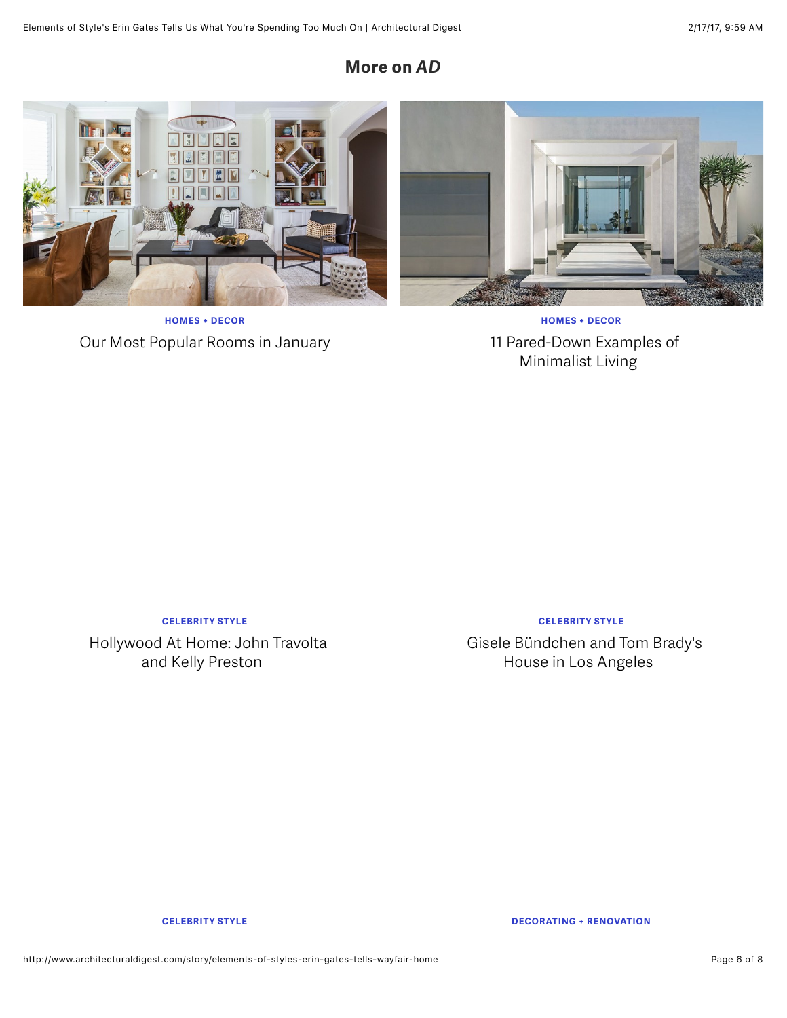# **More on** *AD*



**HOMES + DECOR** [Our Most Popular Rooms in January](http://www.architecturaldigest.com/gallery/most-popular-rooms-january)

**HOMES + DECOR** [11 Pared-Down Examples of](http://www.architecturaldigest.com/gallery/minimalist-design-inspiration) Minimalist Living

**CELEBRITY STYLE**

[Hollywood At Home: John Travolta](http://www.architecturaldigest.com/gallery/john-travolta-kelly-preston-florida-home-slideshow-1999) and Kelly Preston

**CELEBRITY STYLE**

[Gisele Bündchen and Tom Brady's](http://www.architecturaldigest.com/gallery/gisele-bundchen-tom-brady-los-angeles-eco-conscious-home-slideshow) House in Los Angeles

**CELEBRITY STYLE DECORATING + RENOVATION**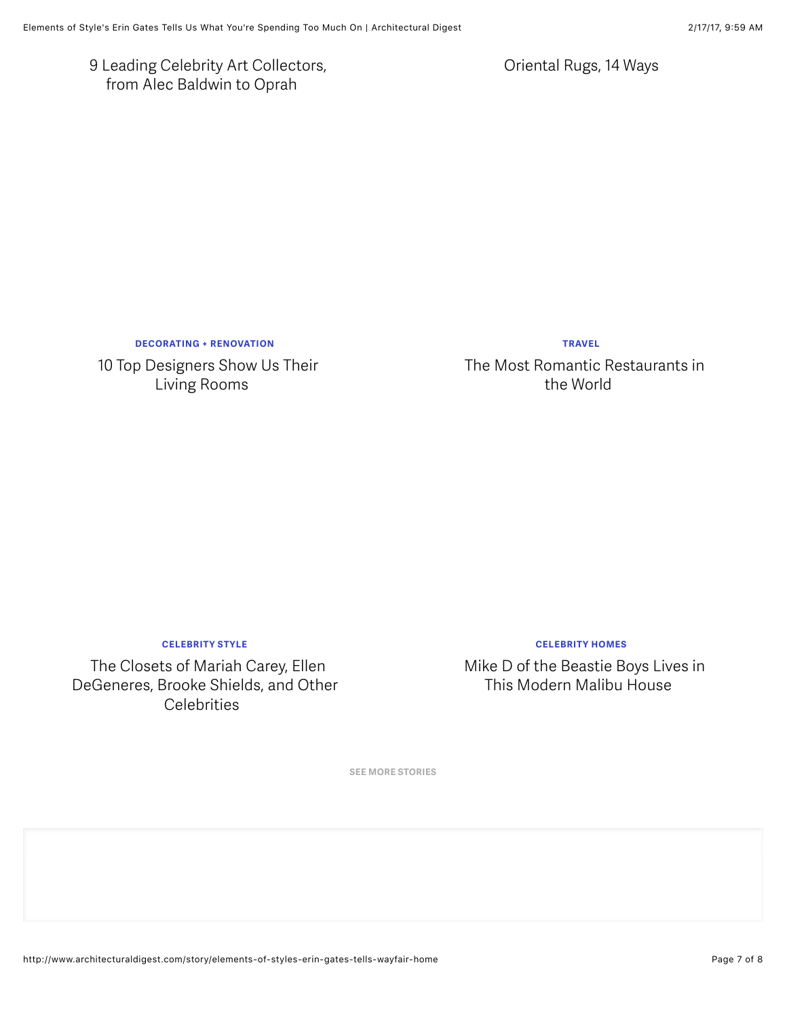[9 Leading Celebrity Art Collectors,](http://www.architecturaldigest.com/gallery/9-leading-celebrity-art-collectors-from-alec-baldwin-to-oprah) from Alec Baldwin to Oprah

[Oriental Rugs, 14 Ways](http://www.architecturaldigest.com/gallery/oriental-rugs-antiques-slideshow1)

**DECORATING + RENOVATION**

[10 Top Designers Show Us Their](http://www.architecturaldigest.com/gallery/interior-designer-living-rooms-slideshow) Living Rooms

**TRAVEL**

[The Most Romantic Restaurants in](http://www.architecturaldigest.com/gallery/most-romantic-restaurants) the World

**CELEBRITY STYLE**

The Closets of Mariah Carey, Ellen [DeGeneres, Brooke Shields, and Other](http://www.architecturaldigest.com/gallery/celebrity-closets-mariah-carey-elton-john-slideshow) **Celebrities** 

**CELEBRITY HOMES**

[Mike D of the Beastie Boys Lives in](http://www.architecturaldigest.com/gallery/mike-d-modern-malibu-house) This Modern Malibu House

**SEE MORE STORIES**